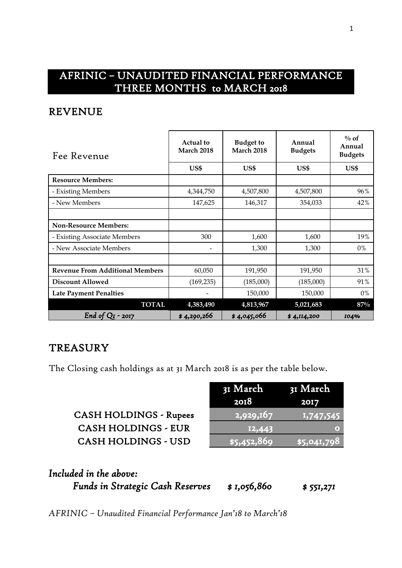# AFRINIC – UNAUDITED FINANCIAL PERFORMANCE THREE MONTHS to MARCH 2018

#### REVENUE

| Fee Revenue                            | <b>Actual</b> to<br><b>March 2018</b> | <b>Budget to</b><br>March 2018 | Annual<br><b>Budgets</b> | $\%$ of<br>Annual<br><b>Budgets</b> |
|----------------------------------------|---------------------------------------|--------------------------------|--------------------------|-------------------------------------|
|                                        | US\$                                  | US\$                           | US\$                     | US\$                                |
| <b>Resource Members:</b>               |                                       |                                |                          |                                     |
| - Existing Members                     | 4,344,750                             | 4,507,800                      | 4,507,800                | 96%                                 |
| - New Members                          | 147,625                               | 146,317                        | 354,033                  | 42%                                 |
|                                        |                                       |                                |                          |                                     |
| <b>Non-Resource Members:</b>           |                                       |                                |                          |                                     |
| - Existing Associate Members           | 300                                   | 1,600                          | 1,600                    | 19%                                 |
| - New Associate Members                | $\overline{\phantom{a}}$              | 1,300                          | 1,300                    | $0\%$                               |
|                                        |                                       |                                |                          |                                     |
| <b>Revenue From Additional Members</b> | 60,050                                | 191,950                        | 191,950                  | 31%                                 |
| <b>Discount Allowed</b>                | (169, 235)                            | (185,000)                      | (185,000)                | 91%                                 |
| <b>Late Payment Penalties</b>          |                                       | 150,000                        | 150,000                  | 0%                                  |
| <b>TOTAL</b>                           | 4,383,490                             | 4,813,967                      | 5,021,683                | 87%                                 |
| End of Q <sub>I</sub><br>$-2017$       | \$4,290,266                           | \$4,045,066                    | \$4,114,200              | 104%                                |

#### **TREASURY**

The Closing cash holdings as at 31 March 2018 is as per the table below.

CASH HOLDINGS - Rupees CASH HOLDINGS - EUR CASH HOLDINGS - USD

| 31 March                | 31 Mar <u>ch</u> |
|-------------------------|------------------|
| 2018                    | 2017             |
| $\overline{12,929,}167$ | 1,747,545        |
| 12,443                  |                  |
| $\sqrt{$5,452,869}$     | \$5,041,798      |

# *Included in the above:*

*Funds in Strategic Cash Reserves \$ 1,056,860 \$ 551,271*

*AFRINIC – Unaudited Financial Performance Jan'18 to March'18*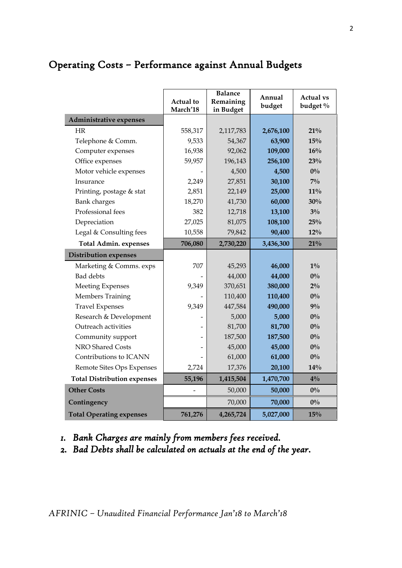|                                    | <b>Actual</b> to<br>March'18 | <b>Balance</b><br>Remaining<br>in Budget | Annual<br>budget | <b>Actual vs</b><br>budget % |
|------------------------------------|------------------------------|------------------------------------------|------------------|------------------------------|
| Administrative expenses            |                              |                                          |                  |                              |
| <b>HR</b>                          | 558,317                      | 2,117,783                                | 2,676,100        | 21%                          |
| Telephone & Comm.                  | 9,533                        | 54,367                                   | 63,900           | 15%                          |
| Computer expenses                  | 16,938                       | 92,062                                   | 109,000          | 16%                          |
| Office expenses                    | 59,957                       | 196,143                                  | 256,100          | 23%                          |
| Motor vehicle expenses             |                              | 4,500                                    | 4,500            | $0\%$                        |
| Insurance                          | 2,249                        | 27,851                                   | 30,100           | $7\%$                        |
| Printing, postage & stat           | 2,851                        | 22,149                                   | 25,000           | $11\%$                       |
| <b>Bank</b> charges                | 18,270                       | 41,730                                   | 60,000           | 30%                          |
| Professional fees                  | 382                          | 12,718                                   | 13,100           | $3\%$                        |
| Depreciation                       | 27,025                       | 81,075                                   | 108,100          | 25%                          |
| Legal & Consulting fees            | 10,558                       | 79,842                                   | 90,400           | $12\%$                       |
| <b>Total Admin. expenses</b>       | 706,080                      | 2,730,220                                | 3,436,300        | 21%                          |
| <b>Distribution expenses</b>       |                              |                                          |                  |                              |
| Marketing & Comms. exps            | 707                          | 45,293                                   | 46,000           | $1\%$                        |
| <b>Bad</b> debts                   |                              | 44,000                                   | 44,000           | $0\%$                        |
| <b>Meeting Expenses</b>            | 9,349                        | 370,651                                  | 380,000          | $2\%$                        |
| Members Training                   |                              | 110,400                                  | 110,400          | $0\%$                        |
| <b>Travel Expenses</b>             | 9,349                        | 447,584                                  | 490,000          | $9\%$                        |
| Research & Development             |                              | 5,000                                    | 5,000            | $0\%$                        |
| Outreach activities                |                              | 81,700                                   | 81,700           | $0\%$                        |
| Community support                  |                              | 187,500                                  | 187,500          | $0\%$                        |
| NRO Shared Costs                   |                              | 45,000                                   | 45,000           | $0\%$                        |
| Contributions to ICANN             |                              | 61,000                                   | 61,000           | $0\%$                        |
| Remote Sites Ops Expenses          | 2,724                        | 17,376                                   | 20,100           | 14%                          |
| <b>Total Distribution expenses</b> | 55,196                       | 1,415,504                                | 1,470,700        | $4\%$                        |
| <b>Other Costs</b>                 |                              | 50,000                                   | 50,000           | $0\%$                        |
| Contingency                        |                              | 70,000                                   | 70,000           | $0\%$                        |
| <b>Total Operating expenses</b>    | 761,276                      | 4,265,724                                | 5,027,000        | 15%                          |

# Operating Costs – Performance against Annual Budgets

#### *1. Bank Charges are mainly from members fees received.*

*2. Bad Debts shall be calculated on actuals at the end of the year.*